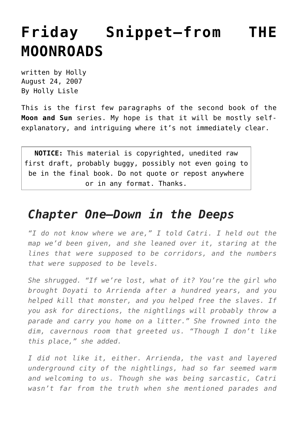## **[Friday Snippet—from THE](https://hollylisle.com/friday-snippet-from-the-moonroads/) [MOONROADS](https://hollylisle.com/friday-snippet-from-the-moonroads/)**

written by Holly August 24, 2007 [By Holly Lisle](https://hollylisle.com)

This is the first few paragraphs of the second book of the **Moon and Sun** series. My hope is that it will be mostly selfexplanatory, and intriguing where it's not immediately clear.

**NOTICE:** This material is copyrighted, unedited raw first draft, probably buggy, possibly not even going to be in the final book. Do not quote or repost anywhere or in any format. Thanks.

## *Chapter One—Down in the Deeps*

*"I do not know where we are," I told Catri. I held out the map we'd been given, and she leaned over it, staring at the lines that were supposed to be corridors, and the numbers that were supposed to be levels.*

*She shrugged. "If we're lost, what of it? You're the girl who brought Doyati to Arrienda after a hundred years, and you helped kill that monster, and you helped free the slaves. If you ask for directions, the nightlings will probably throw a parade and carry you home on a litter." She frowned into the dim, cavernous room that greeted us. "Though I don't like this place," she added.*

*I did not like it, either. Arrienda, the vast and layered underground city of the nightlings, had so far seemed warm and welcoming to us. Though she was being sarcastic, Catri wasn't far from the truth when she mentioned parades and*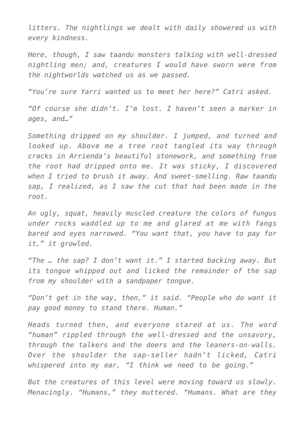*litters. The nightlings we dealt with daily showered us with every kindness.*

*Here, though, I saw taandu monsters talking with well-dressed nightling men; and, creatures I would have sworn were from the nightworlds watched us as we passed.*

*"You're sure Yarri wanted us to meet her here?" Catri asked.*

*"Of course she didn't. I'm lost. I haven't seen a marker in ages, and…"*

*Something dripped on my shoulder. I jumped, and turned and looked up. Above me a tree root tangled its way through cracks in Arrienda's beautiful stonework, and something from the root had dripped onto me. It was sticky, I discovered when I tried to brush it away. And sweet-smelling. Raw taandu sap, I realized, as I saw the cut that had been made in the root.*

*An ugly, squat, heavily muscled creature the colors of fungus under rocks waddled up to me and glared at me with fangs bared and eyes narrowed. "You want that, you have to pay for it," it growled.*

*"The … the sap? I don't want it." I started backing away. But its tongue whipped out and licked the remainder of the sap from my shoulder with a sandpaper tongue.*

*"Don't get in the way, then," it said. "People who do want it pay good money to stand there. Human."*

*Heads turned then, and everyone stared at us. The word "human" rippled through the well-dressed and the unsavory, through the talkers and the doers and the leaners-on-walls. Over the shoulder the sap-seller hadn't licked, Catri whispered into my ear, "I think we need to be going."*

*But the creatures of this level were moving toward us slowly. Menacingly. "Humans," they muttered. "Humans. What are they*